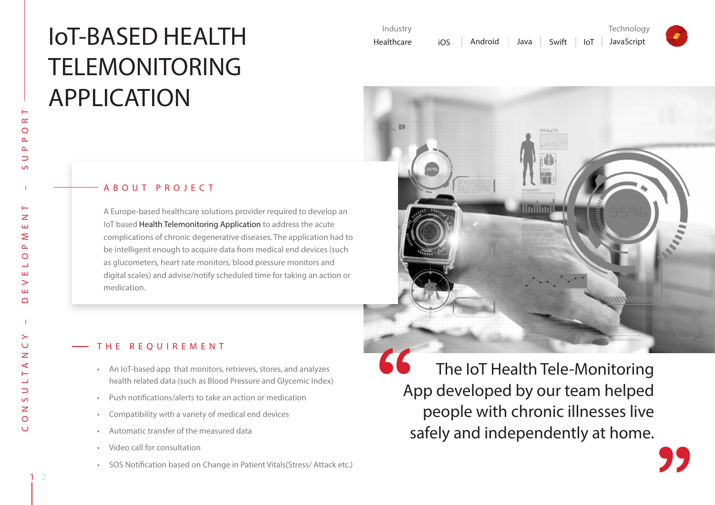# IoT-BASED HEALTH TELEMONITORING APPLICATION

| - A B O U T P R O J E C T |  |  |  |  |  |  |  |  |  |  |  |  |  |
|---------------------------|--|--|--|--|--|--|--|--|--|--|--|--|--|
|---------------------------|--|--|--|--|--|--|--|--|--|--|--|--|--|

A Europe-based healthcare solutions provider required to develop an IoT based Health Telemonitoring Application to address the acute complications of chronic degenerative diseases. The application had to be intelligent enough to acquire data from medical end devices (such as glucometers, heart rate monitors, blood pressure monitors and digital scales) and advise/notify scheduled time for taking an action or medication.

## THE REQUIREMENT

- • An IoT-based app that monitors, retrieves, stores, and analyzes health related data (such as Blood Pressure and Glycemic Index)
- • Push notifications/alerts to take an action or medication
- • Compatibility with a variety of medical end devices
- • Automatic transfer of the measured data
- • Video call for consultation
- • SOS Notification based on Change in Patient Vitals(Stress/ Attack etc.)

The IoT Health Tele-Monitoring App developed by our team helped people with chronic illnesses live safely and independently at home.

C O N S U L T A N C Y – D E V E L O P M E N T – S U P P O R T

 $\geq$ Ō  $\overline{z}$ ⋖

 $\Rightarrow$  $\overline{S}$  $\overline{z}$  $\circ$  $\cup$ 

 $\overline{z}$ ш  $\geq$  $\Delta$  $\circ$ ⊐ Ш  $\geq$ ш  $\bigcap$ 

 $\propto$  $\circ$ 

 $\Delta$  $\Rightarrow$  $\sqrt{2}$